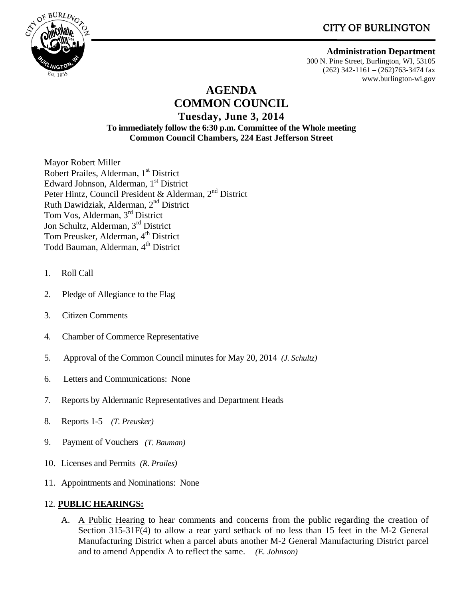**CITY OF BURLINGTON** 



 **Administration Department** 300 N. Pine Street, Burlington, WI, 53105 (262) 342-1161 – (262)763-3474 fax www.burlington-wi.gov

# **AGENDA COMMON COUNCIL**

**Tuesday, June 3, 2014 To immediately follow the 6:30 p.m. Committee of the Whole meeting Common Council Chambers, 224 East Jefferson Street** 

Mayor Robert Miller Robert Prailes, Alderman, 1<sup>st</sup> District Edward Johnson, Alderman, 1<sup>st</sup> District Peter Hintz, Council President & Alderman, 2<sup>nd</sup> District Ruth Dawidziak, Alderman, 2nd District Tom Vos, Alderman, 3rd District Jon Schultz, Alderman, 3rd District Tom Preusker, Alderman, 4<sup>th</sup> District Todd Bauman, Alderman, 4<sup>th</sup> District

- 1. Roll Call
- 2. Pledge of Allegiance to the Flag
- 3. Citizen Comments
- 4. Chamber of Commerce Representative
- 5. Approval of the Common Council minutes for May 20, 2014 *(J. Schultz)*
- 6. Letters and Communications: None
- 7. Reports by Aldermanic Representatives and Department Heads
- 8. Reports 1-5 *(T. Preusker)*
- 9. Payment of Vouchers *(T. Bauman)*
- 10. Licenses and Permits *(R. Prailes)*
- 11. Appointments and Nominations: None

## 12. **PUBLIC HEARINGS:**

A. A Public Hearing to hear comments and concerns from the public regarding the creation of Section 315-31F(4) to allow a rear yard setback of no less than 15 feet in the M-2 General Manufacturing District when a parcel abuts another M-2 General Manufacturing District parcel and to amend Appendix A to reflect the same. *(E. Johnson)*